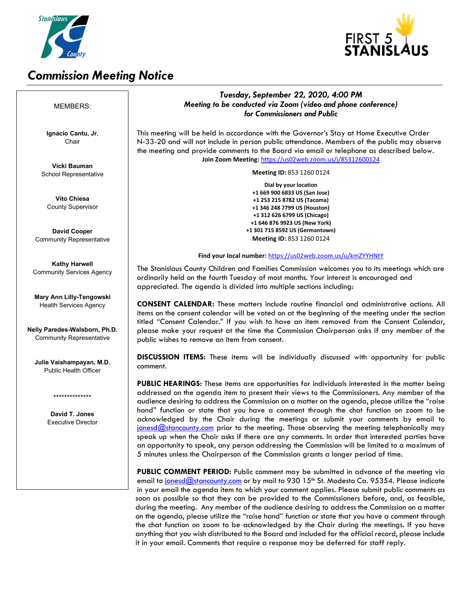

# *Commission Meeting Notice*



#### *Tuesday, September 22, 2020, 4:00 PM Meeting to be conducted via Zoom (video and phone conference) for Commissioners and Public* This meeting will be held in accordance with the Governor's Stay at Home Executive Order N-33-20 and will not include in person public attendance. Members of the public may observe the meeting and provide comments to the Board via email or telephone as described below. **Join Zoom Meeting:** <https://us02web.zoom.us/j/85312600124> **Meeting ID:** 853 1260 0124 **Dial by your location +1 669 900 6833 US (San Jose) +1 253 215 8782 US (Tacoma) +1 346 248 7799 US (Houston) +1 312 626 6799 US (Chicago) +1 646 876 9923 US (New York) +1 301 715 8592 US (Germantown) Meeting ID:** 853 1260 0124 **Find your local number:** <https://us02web.zoom.us/u/kmZYYHNtY> The Stanislaus County Children and Families Commission welcomes you to its meetings which are ordinarily held on the fourth Tuesday of most months. Your interest is encouraged and appreciated. The agenda is divided into multiple sections including: **CONSENT CALENDAR:** These matters include routine financial and administrative actions. All items on the consent calendar will be voted on at the beginning of the meeting under the section titled "Consent Calendar." If you wish to have an item removed from the Consent Calendar, please make your request at the time the Commission Chairperson asks if any member of the public wishes to remove an item from consent. **DISCUSSION ITEMS:** These items will be individually discussed with opportunity for public comment. **PUBLIC HEARINGS:** These items are opportunities for individuals interested in the matter being addressed on the agenda item to present their views to the Commissioners. Any member of the audience desiring to address the Commission on a matter on the agenda, please utilize the "raise hand" function or state that you have a comment through the chat function on zoom to be acknowledged by the Chair during the meetings or submit your comments by email to  $jonesed@stranconvy.com$  prior to the meeting. Those observing the meeting telephonically may speak up when the Chair asks if there are any comments. In order that interested parties have an opportunity to speak, any person addressing the Commission will be limited to a maximum of 5 minutes unless the Chairperson of the Commission grants a longer period of time. **PUBLIC COMMENT PERIOD:** Public comment may be submitted in advance of the meeting via email to [jonesd@stancounty.com](mailto:jonesd@stancounty.com) or by mail to 930 15<sup>th</sup> St. Modesto Ca. 95354. Please indicate in your email the agenda item to which your comment applies. Please submit public comments as soon as possible so that they can be provided to the Commissioners before, and, as feasible, during the meeting. Any member of the audience desiring to address the Commission on a matter on the agenda, please utilize the "raise hand" function or state that you have a comment through the chat function on zoom to be acknowledged by the Chair during the meetings. If you have anything that you wish distributed to the Board and included for the official record, please include it in your email. Comments that require a response may be deferred for staff reply. MEMBERS: **Ignacio Cantu, Jr.** Chair **Vicki Bauman** School Representative **Vito Chiesa** County Supervisor **David Cooper** Community Representative **Kathy Harwell** Community Services Agency **Mary Ann Lilly-Tengowski** Health Services Agency **Nelly Paredes-Walsborn, Ph.D.** Community Representative **Julie Vaishampayan, M.D.** Public Health Officer \*\*\*\*\*\*\*\*\*\*\*\*\*\* **David T. Jones** Executive Director